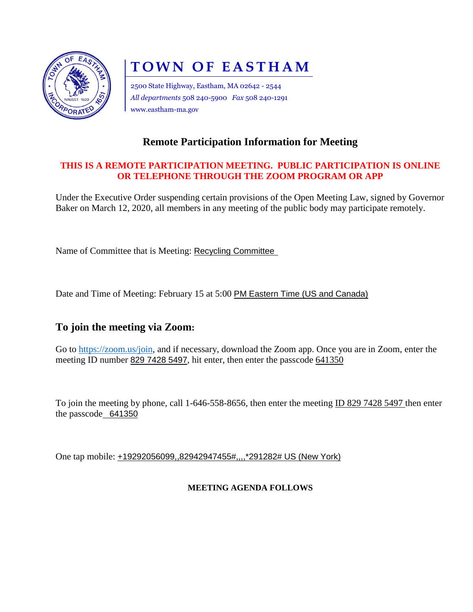

# **TOWN OF EASTHAM**

2500 State Highway, Eastham, MA 02642 - 2544 *All departments* 508 240-5900 *Fax* 508 240-1291 www.eastham-ma.gov

### **Remote Participation Information for Meeting**

#### **THIS IS A REMOTE PARTICIPATION MEETING. PUBLIC PARTICIPATION IS ONLINE OR TELEPHONE THROUGH THE ZOOM PROGRAM OR APP**

Under the Executive Order suspending certain provisions of the Open Meeting Law, signed by Governor Baker on March 12, 2020, all members in any meeting of the public body may participate remotely.

Name of Committee that is Meeting: Recycling Committee

Date and Time of Meeting: February 15 at 5:00 PM Eastern Time (US and Canada)

#### **To join the meeting via Zoom:**

Go to [https://zoom.us/join,](https://zoom.us/join) and if necessary, download the Zoom app. Once you are in Zoom, enter the meeting ID number 829 7428 5497, hit enter, then enter the passcode 641350

To join the meeting by phone, call 1-646-558-8656, then enter the meeting ID 829 7428 5497 then enter the passcode 641350

One tap mobile: +19292056099,,82942947455#,,,,\*291282# US (New York)

#### **MEETING AGENDA FOLLOWS**